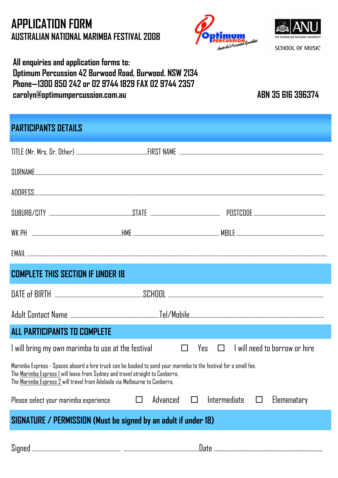# **APPLICATION FORM AUSTRALIAN NATIONAL MARIMBA FESTIVAL 2008**





**SCHOOL OF MUSIC** 

### **All enquiries and application forms to: Optimum Percussion 42 Burwood Road, Burwood. NSW 2134 Phone—1300 850 242 or 02 9744 1829 FAX 02 9744 2357 carolyn@optimumpercussion.com.au ABN 35 616 396374**

## **PARTICIPANTS DETAILS**

| <b>COMPLETE THIS SECTION IF UNDER 18</b>                                                                                                                                                                                                                                        |                    |                                                 |  |
|---------------------------------------------------------------------------------------------------------------------------------------------------------------------------------------------------------------------------------------------------------------------------------|--------------------|-------------------------------------------------|--|
|                                                                                                                                                                                                                                                                                 |                    |                                                 |  |
|                                                                                                                                                                                                                                                                                 |                    |                                                 |  |
| ALL PARTICIPANTS TO COMPLETE                                                                                                                                                                                                                                                    |                    |                                                 |  |
|                                                                                                                                                                                                                                                                                 |                    |                                                 |  |
| Marimba Express - Spaces aboard a hire truck can be booked to send your marimba to the festival for a small fee.<br>The Marimba Express 1 will leave from Sydney and travel straight to Canberra.<br>The Marimba Express 2 will travel from Adelaide via Melbourne to Canberra. |                    |                                                 |  |
| Please select your marimba experience                                                                                                                                                                                                                                           | $\Box$<br>Advanced | $\Box$<br>Intermediate<br>$\Box$<br>Elemenatary |  |
| SIGNATURE / PERMISSION (Must be signed by an adult if under 18)                                                                                                                                                                                                                 |                    |                                                 |  |
|                                                                                                                                                                                                                                                                                 |                    |                                                 |  |